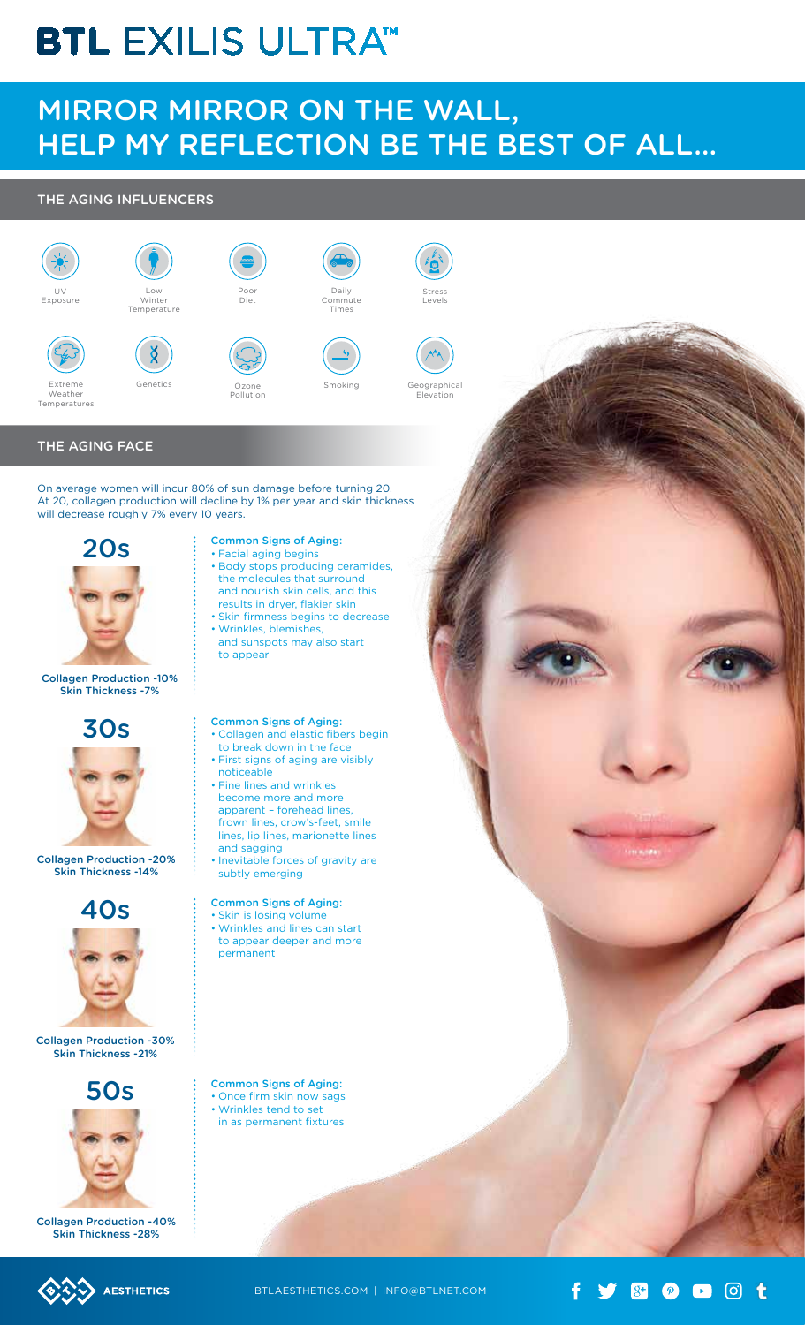## **BTL EXILIS ULTRATM**

### Mirror Mirror On The Wall, Help My Reflection Be The Best of All…

Stress Levels

Geographical Elevation

#### The Aging Influencers



#### The Aging Face

On average women will incur 80% of sun damage before turning 20. At 20, collagen production will decline by 1% per year and skin thickness will decrease roughly 7% every 10 years.



Collagen Production -10% Skin Thickness -7%



Collagen Production -20% Skin Thickness -14%

# 40s



Collagen Production -30% Skin Thickness -21%



Collagen Production -40% Skin Thickness -28%

### Common Signs of Aging:

- • Facial aging begins • Body stops producing ceramides, the molecules that surround
- and nourish skin cells, and this results in dryer, flakier skin • Skin firmness begins to decrease • Wrinkles, blemishes,
- and sunspots may also start to appear

#### Common Signs of Aging:

- • Collagen and elastic fibers begin to break down in the face
- • First signs of aging are visibly noticeable
- • Fine lines and wrinkles become more and more apparent – forehead lines,
- frown lines, crow's-feet, smile lines, lip lines, marionette lines and sagging
- Inevitable forces of gravity are subtly emerging

#### Common Signs of Aging:

• Skin is losing volume • Wrinkles and lines can start to appear deeper and more permanent

Common Signs of Aging: • Once firm skin now sags • Wrinkles tend to set

in as permanent fixtures





**AESTHETICS** 



 $\mathbf{y}$  &  $\mathbf{z}$  and  $\mathbf{z}$